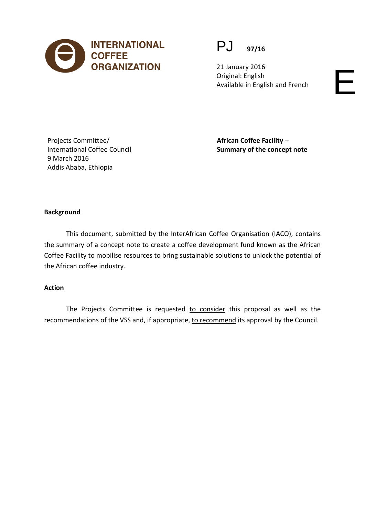

PJ **97/16**

21 January 2016 Original: English Available in English and French

Projects Committee/ International Coffee Council 9 March 2016 Addis Ababa, Ethiopia

**African Coffee Facility ─ Summary of the concept note**

### **Background**

This document, submitted by the InterAfrican Coffee Organisation (IACO), contains the summary of a concept note to create a coffee development fund known as the African Coffee Facility to mobilise resources to bring sustainable solutions to unlock the potential of the African coffee industry.

#### **Action**

The Projects Committee is requested to consider this proposal as well as the recommendations of the VSS and, if appropriate, to recommend its approval by the Council.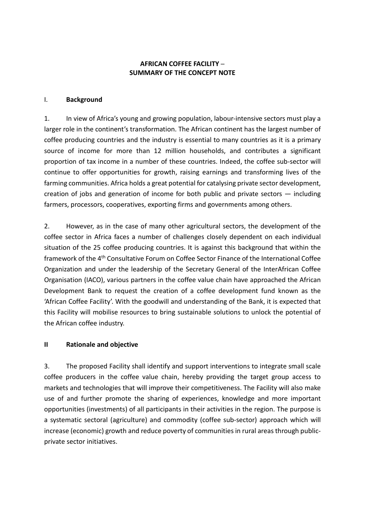# **AFRICAN COFFEE FACILITY ─ SUMMARY OF THE CONCEPT NOTE**

### I. **Background**

1. In view of Africa's young and growing population, labour-intensive sectors must play a larger role in the continent's transformation. The African continent has the largest number of coffee producing countries and the industry is essential to many countries as it is a primary source of income for more than 12 million households, and contributes a significant proportion of tax income in a number of these countries. Indeed, the coffee sub-sector will continue to offer opportunities for growth, raising earnings and transforming lives of the farming communities. Africa holds a great potential for catalysing private sector development, creation of jobs and generation of income for both public and private sectors — including farmers, processors, cooperatives, exporting firms and governments among others.

2. However, as in the case of many other agricultural sectors, the development of the coffee sector in Africa faces a number of challenges closely dependent on each individual situation of the 25 coffee producing countries. It is against this background that within the framework of the 4th Consultative Forum on Coffee Sector Finance of the International Coffee Organization and under the leadership of the Secretary General of the InterAfrican Coffee Organisation (IACO), various partners in the coffee value chain have approached the African Development Bank to request the creation of a coffee development fund known as the 'African Coffee Facility'. With the goodwill and understanding of the Bank, it is expected that this Facility will mobilise resources to bring sustainable solutions to unlock the potential of the African coffee industry.

# **II Rationale and objective**

3. The proposed Facility shall identify and support interventions to integrate small scale coffee producers in the coffee value chain, hereby providing the target group access to markets and technologies that will improve their competitiveness. The Facility will also make use of and further promote the sharing of experiences, knowledge and more important opportunities (investments) of all participants in their activities in the region. The purpose is a systematic sectoral (agriculture) and commodity (coffee sub-sector) approach which will increase (economic) growth and reduce poverty of communities in rural areas through publicprivate sector initiatives.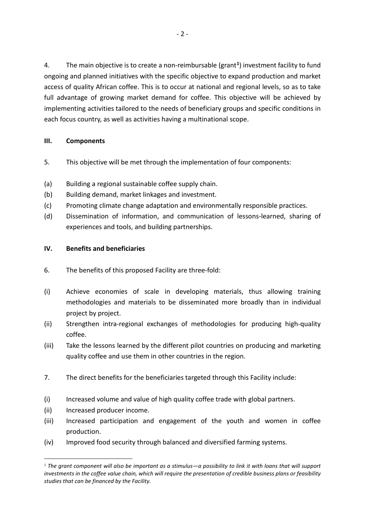4. The main objective is to create a non-reimbursable (grant**[1](#page-2-0)**) investment facility to fund ongoing and planned initiatives with the specific objective to expand production and market access of quality African coffee. This is to occur at national and regional levels, so as to take full advantage of growing market demand for coffee. This objective will be achieved by implementing activities tailored to the needs of beneficiary groups and specific conditions in each focus country, as well as activities having a multinational scope.

# **III. Components**

- 5. This objective will be met through the implementation of four components:
- (a) Building a regional sustainable coffee supply chain.
- (b) Building demand, market linkages and investment.
- (c) Promoting climate change adaptation and environmentally responsible practices.
- (d) Dissemination of information, and communication of lessons-learned, sharing of experiences and tools, and building partnerships.

#### **IV. Benefits and beneficiaries**

- 6. The benefits of this proposed Facility are three-fold:
- (i) Achieve economies of scale in developing materials, thus allowing training methodologies and materials to be disseminated more broadly than in individual project by project.
- (ii) Strengthen intra-regional exchanges of methodologies for producing high-quality coffee.
- (iii) Take the lessons learned by the different pilot countries on producing and marketing quality coffee and use them in other countries in the region.
- 7. The direct benefits for the beneficiaries targeted through this Facility include:
- (i) Increased volume and value of high quality coffee trade with global partners.
- (ii) Increased producer income.
- (iii) Increased participation and engagement of the youth and women in coffee production.
- (iv) Improved food security through balanced and diversified farming systems.

<span id="page-2-0"></span> <sup>1</sup> *The grant component will also be important as a stimulus—a possibility to link it with loans that will support investments in the coffee value chain, which will require the presentation of credible business plans or feasibility studies that can be financed by the Facility.*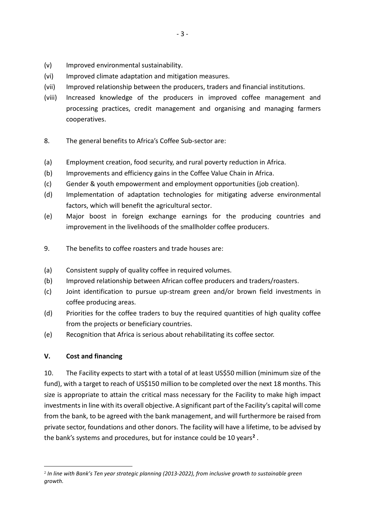- (v) Improved environmental sustainability.
- (vi) Improved climate adaptation and mitigation measures.
- (vii) Improved relationship between the producers, traders and financial institutions.
- (viii) Increased knowledge of the producers in improved coffee management and processing practices, credit management and organising and managing farmers cooperatives.
- 8. The general benefits to Africa's Coffee Sub-sector are:
- (a) Employment creation, food security, and rural poverty reduction in Africa.
- (b) Improvements and efficiency gains in the Coffee Value Chain in Africa.
- (c) Gender & youth empowerment and employment opportunities (job creation).
- (d) Implementation of adaptation technologies for mitigating adverse environmental factors, which will benefit the agricultural sector.
- (e) Major boost in foreign exchange earnings for the producing countries and improvement in the livelihoods of the smallholder coffee producers.
- 9. The benefits to coffee roasters and trade houses are:
- (a) Consistent supply of quality coffee in required volumes.
- (b) Improved relationship between African coffee producers and traders/roasters.
- (c) Joint identification to pursue up-stream green and/or brown field investments in coffee producing areas.
- (d) Priorities for the coffee traders to buy the required quantities of high quality coffee from the projects or beneficiary countries.
- (e) Recognition that Africa is serious about rehabilitating its coffee sector.

# **V. Cost and financing**

10. The Facility expects to start with a total of at least US\$50 million (minimum size of the fund), with a target to reach of US\$150 million to be completed over the next 18 months. This size is appropriate to attain the critical mass necessary for the Facility to make high impact investments in line with its overall objective. A significant part of the Facility's capital will come from the bank, to be agreed with the bank management, and will furthermore be raised from private sector, foundations and other donors. The facility will have a lifetime, to be advised by the bank's systems and procedures, but for instance could be 10 years**[2](#page-3-0)** .

<span id="page-3-0"></span> <sup>2</sup> *In line with Bank's Ten year strategic planning (2013-2022), from inclusive growth to sustainable green growth.*